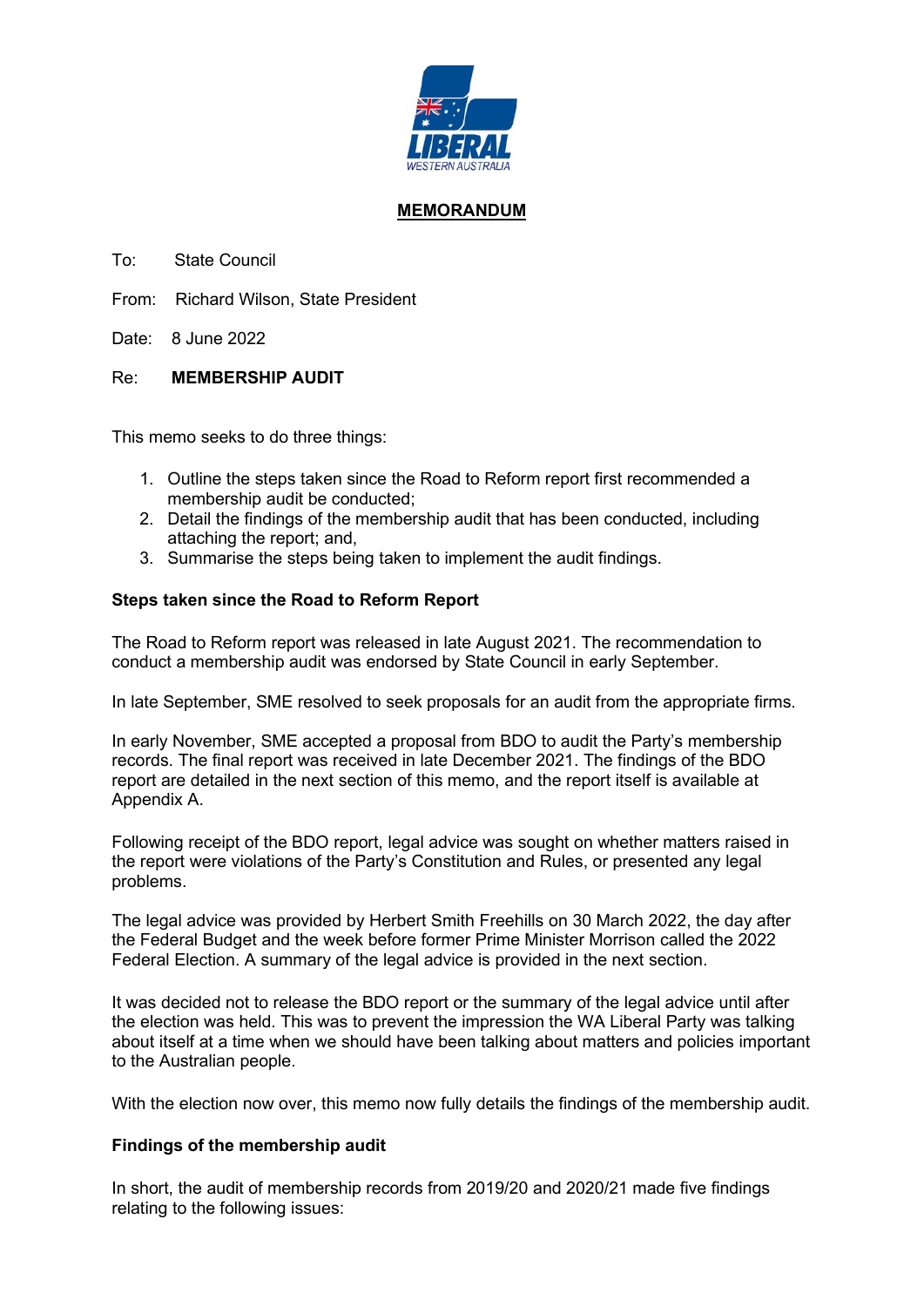

# **MEMORANDUM**

To: State Council

From: Richard Wilson, State President

Date: 8 June 2022

## Re: **MEMBERSHIP AUDIT**

This memo seeks to do three things:

- 1. Outline the steps taken since the Road to Reform report first recommended a membership audit be conducted;
- 2. Detail the findings of the membership audit that has been conducted, including attaching the report; and,
- 3. Summarise the steps being taken to implement the audit findings.

## **Steps taken since the Road to Reform Report**

The Road to Reform report was released in late August 2021. The recommendation to conduct a membership audit was endorsed by State Council in early September.

In late September, SME resolved to seek proposals for an audit from the appropriate firms.

In early November, SME accepted a proposal from BDO to audit the Party's membership records. The final report was received in late December 2021. The findings of the BDO report are detailed in the next section of this memo, and the report itself is available at Appendix A.

Following receipt of the BDO report, legal advice was sought on whether matters raised in the report were violations of the Party's Constitution and Rules, or presented any legal problems.

The legal advice was provided by Herbert Smith Freehills on 30 March 2022, the day after the Federal Budget and the week before former Prime Minister Morrison called the 2022 Federal Election. A summary of the legal advice is provided in the next section.

It was decided not to release the BDO report or the summary of the legal advice until after the election was held. This was to prevent the impression the WA Liberal Party was talking about itself at a time when we should have been talking about matters and policies important to the Australian people.

With the election now over, this memo now fully details the findings of the membership audit.

## **Findings of the membership audit**

In short, the audit of membership records from 2019/20 and 2020/21 made five findings relating to the following issues: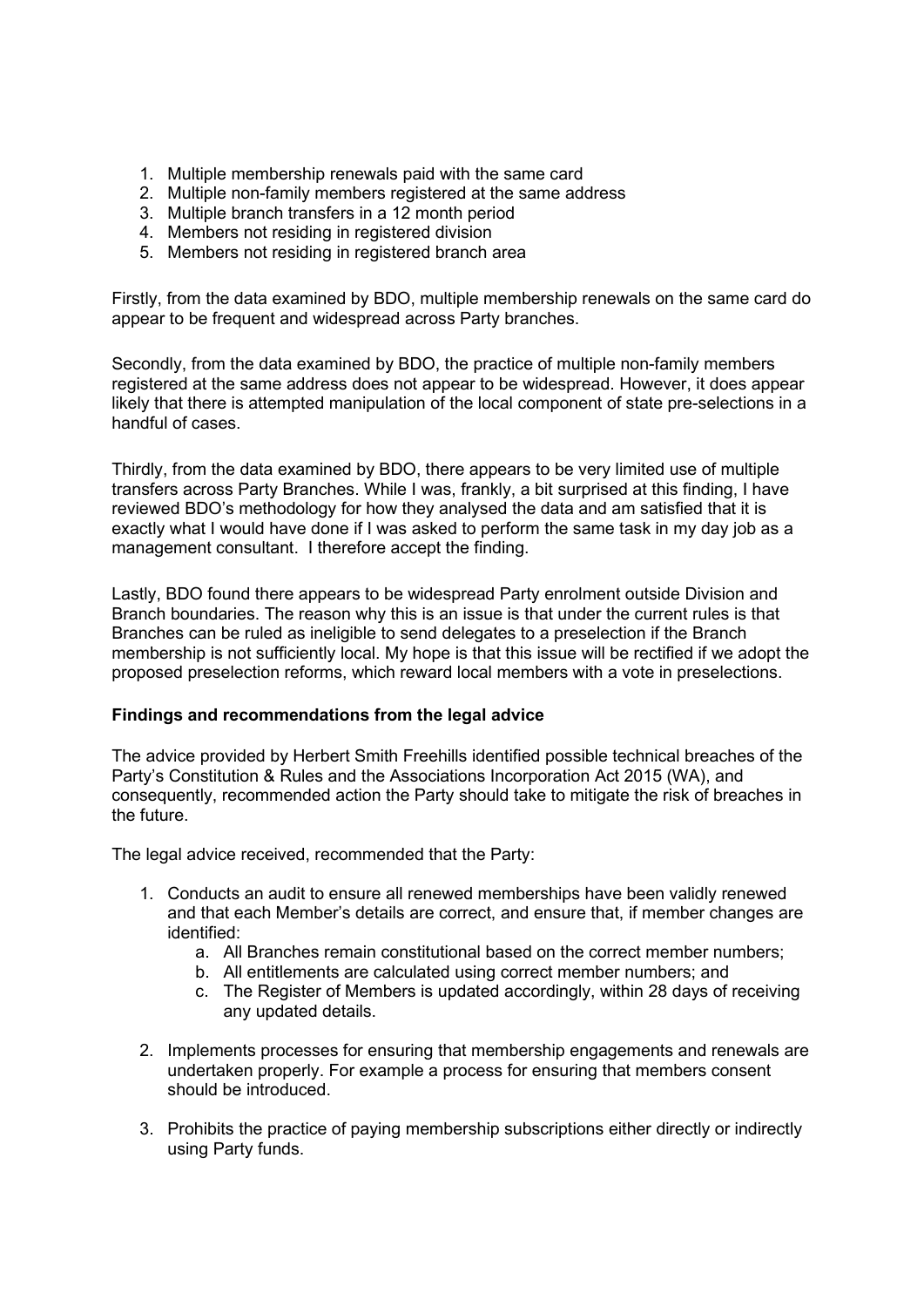- 1. Multiple membership renewals paid with the same card
- 2. Multiple non-family members registered at the same address
- 3. Multiple branch transfers in a 12 month period
- 4. Members not residing in registered division
- 5. Members not residing in registered branch area

Firstly, from the data examined by BDO, multiple membership renewals on the same card do appear to be frequent and widespread across Party branches.

Secondly, from the data examined by BDO, the practice of multiple non-family members registered at the same address does not appear to be widespread. However, it does appear likely that there is attempted manipulation of the local component of state pre-selections in a handful of cases.

Thirdly, from the data examined by BDO, there appears to be very limited use of multiple transfers across Party Branches. While I was, frankly, a bit surprised at this finding, I have reviewed BDO's methodology for how they analysed the data and am satisfied that it is exactly what I would have done if I was asked to perform the same task in my day job as a management consultant. I therefore accept the finding.

Lastly, BDO found there appears to be widespread Party enrolment outside Division and Branch boundaries. The reason why this is an issue is that under the current rules is that Branches can be ruled as ineligible to send delegates to a preselection if the Branch membership is not sufficiently local. My hope is that this issue will be rectified if we adopt the proposed preselection reforms, which reward local members with a vote in preselections.

## **Findings and recommendations from the legal advice**

The advice provided by Herbert Smith Freehills identified possible technical breaches of the Party's Constitution & Rules and the Associations Incorporation Act 2015 (WA), and consequently, recommended action the Party should take to mitigate the risk of breaches in the future.

The legal advice received, recommended that the Party:

- 1. Conducts an audit to ensure all renewed memberships have been validly renewed and that each Member's details are correct, and ensure that, if member changes are identified:
	- a. All Branches remain constitutional based on the correct member numbers;
	- b. All entitlements are calculated using correct member numbers; and
	- c. The Register of Members is updated accordingly, within 28 days of receiving any updated details.
- 2. Implements processes for ensuring that membership engagements and renewals are undertaken properly. For example a process for ensuring that members consent should be introduced.
- 3. Prohibits the practice of paying membership subscriptions either directly or indirectly using Party funds.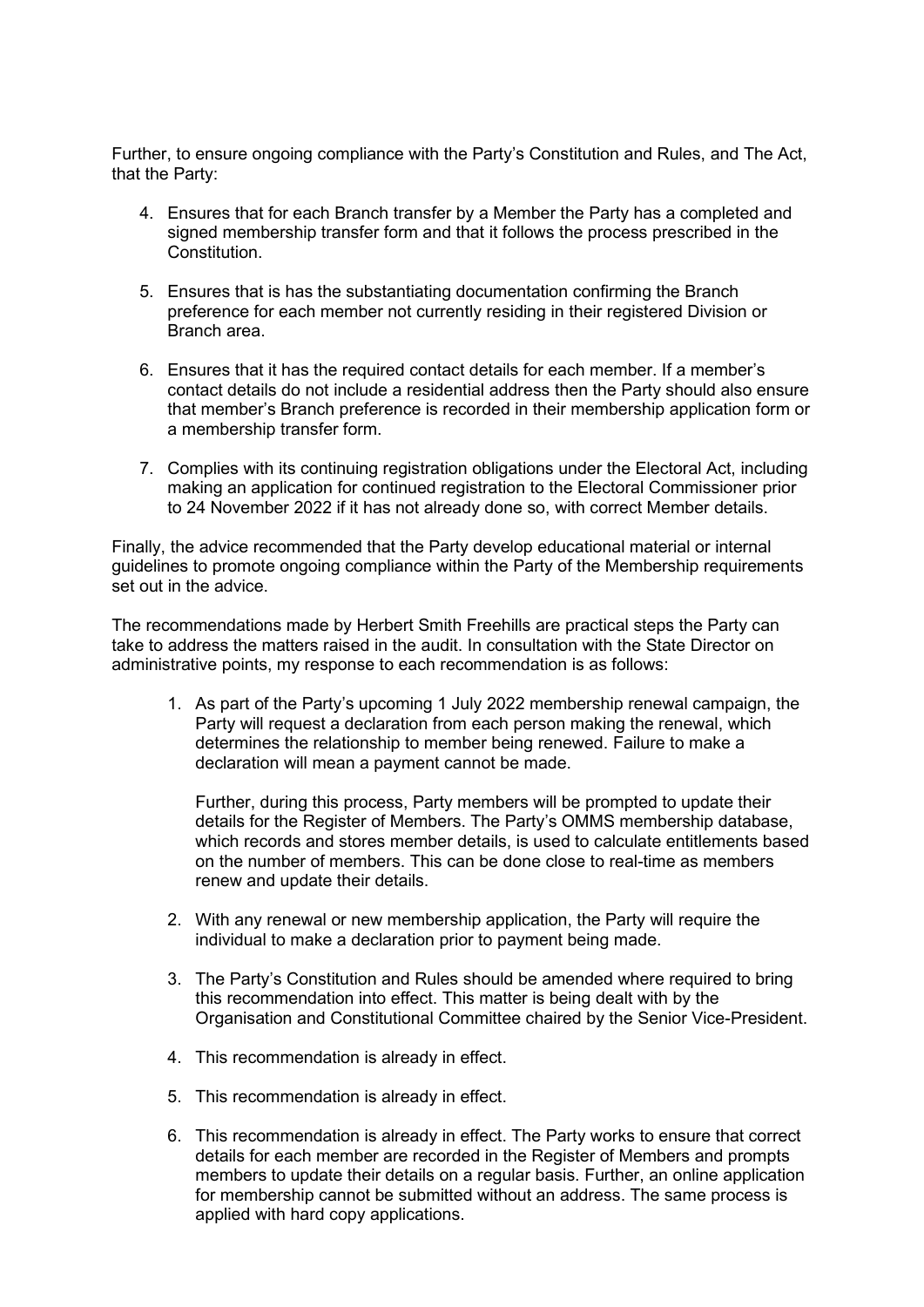Further, to ensure ongoing compliance with the Party's Constitution and Rules, and The Act, that the Party:

- 4. Ensures that for each Branch transfer by a Member the Party has a completed and signed membership transfer form and that it follows the process prescribed in the Constitution.
- 5. Ensures that is has the substantiating documentation confirming the Branch preference for each member not currently residing in their registered Division or Branch area.
- 6. Ensures that it has the required contact details for each member. If a member's contact details do not include a residential address then the Party should also ensure that member's Branch preference is recorded in their membership application form or a membership transfer form.
- 7. Complies with its continuing registration obligations under the Electoral Act, including making an application for continued registration to the Electoral Commissioner prior to 24 November 2022 if it has not already done so, with correct Member details.

Finally, the advice recommended that the Party develop educational material or internal guidelines to promote ongoing compliance within the Party of the Membership requirements set out in the advice.

The recommendations made by Herbert Smith Freehills are practical steps the Party can take to address the matters raised in the audit. In consultation with the State Director on administrative points, my response to each recommendation is as follows:

1. As part of the Party's upcoming 1 July 2022 membership renewal campaign, the Party will request a declaration from each person making the renewal, which determines the relationship to member being renewed. Failure to make a declaration will mean a payment cannot be made.

Further, during this process, Party members will be prompted to update their details for the Register of Members. The Party's OMMS membership database, which records and stores member details, is used to calculate entitlements based on the number of members. This can be done close to real-time as members renew and update their details.

- 2. With any renewal or new membership application, the Party will require the individual to make a declaration prior to payment being made.
- 3. The Party's Constitution and Rules should be amended where required to bring this recommendation into effect. This matter is being dealt with by the Organisation and Constitutional Committee chaired by the Senior Vice-President.
- 4. This recommendation is already in effect.
- 5. This recommendation is already in effect.
- 6. This recommendation is already in effect. The Party works to ensure that correct details for each member are recorded in the Register of Members and prompts members to update their details on a regular basis. Further, an online application for membership cannot be submitted without an address. The same process is applied with hard copy applications.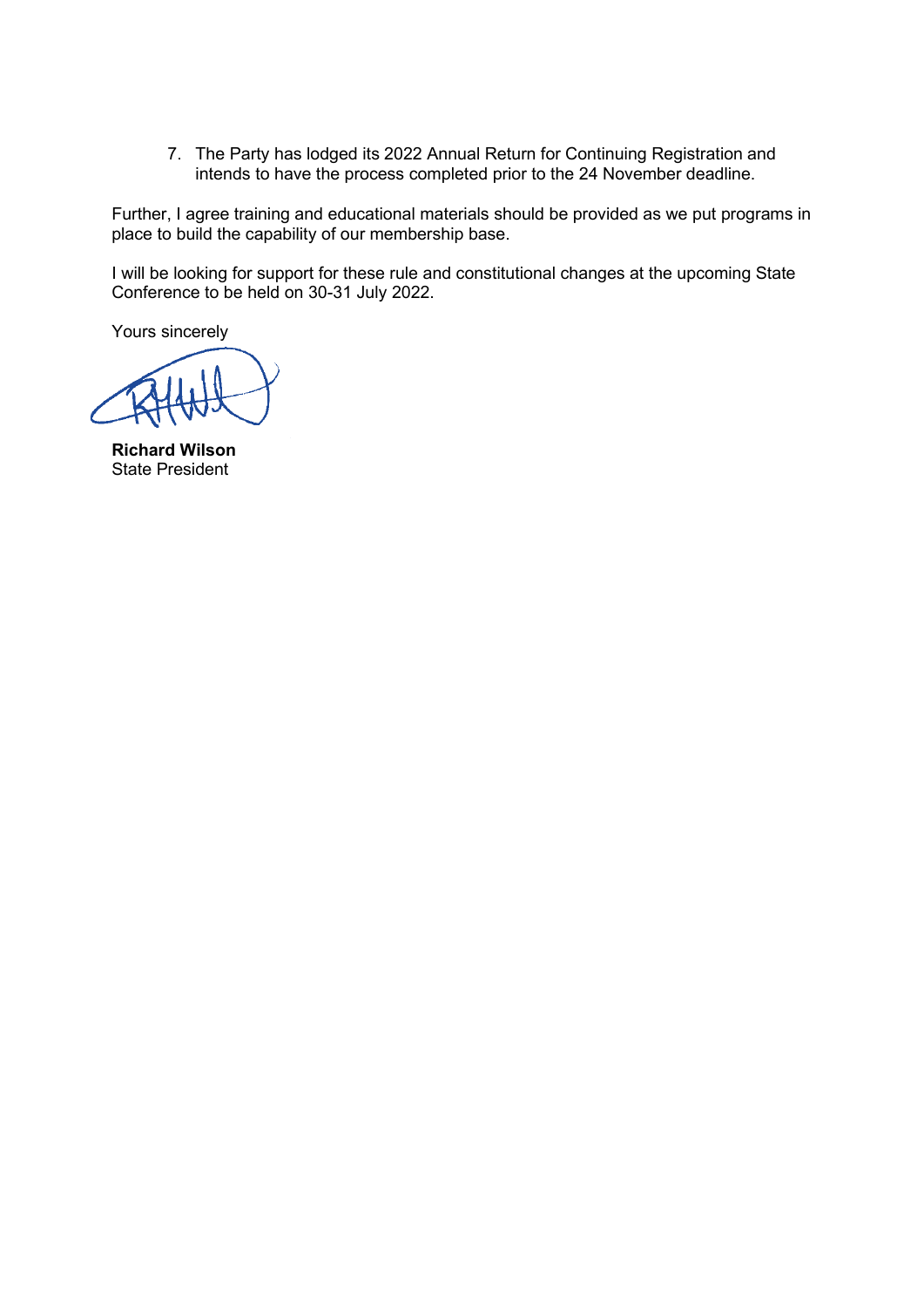7. The Party has lodged its 2022 Annual Return for Continuing Registration and intends to have the process completed prior to the 24 November deadline.

Further, I agree training and educational materials should be provided as we put programs in place to build the capability of our membership base.

I will be looking for support for these rule and constitutional changes at the upcoming State Conference to be held on 30-31 July 2022.

Yours sincerely

**Richard Wilson** State President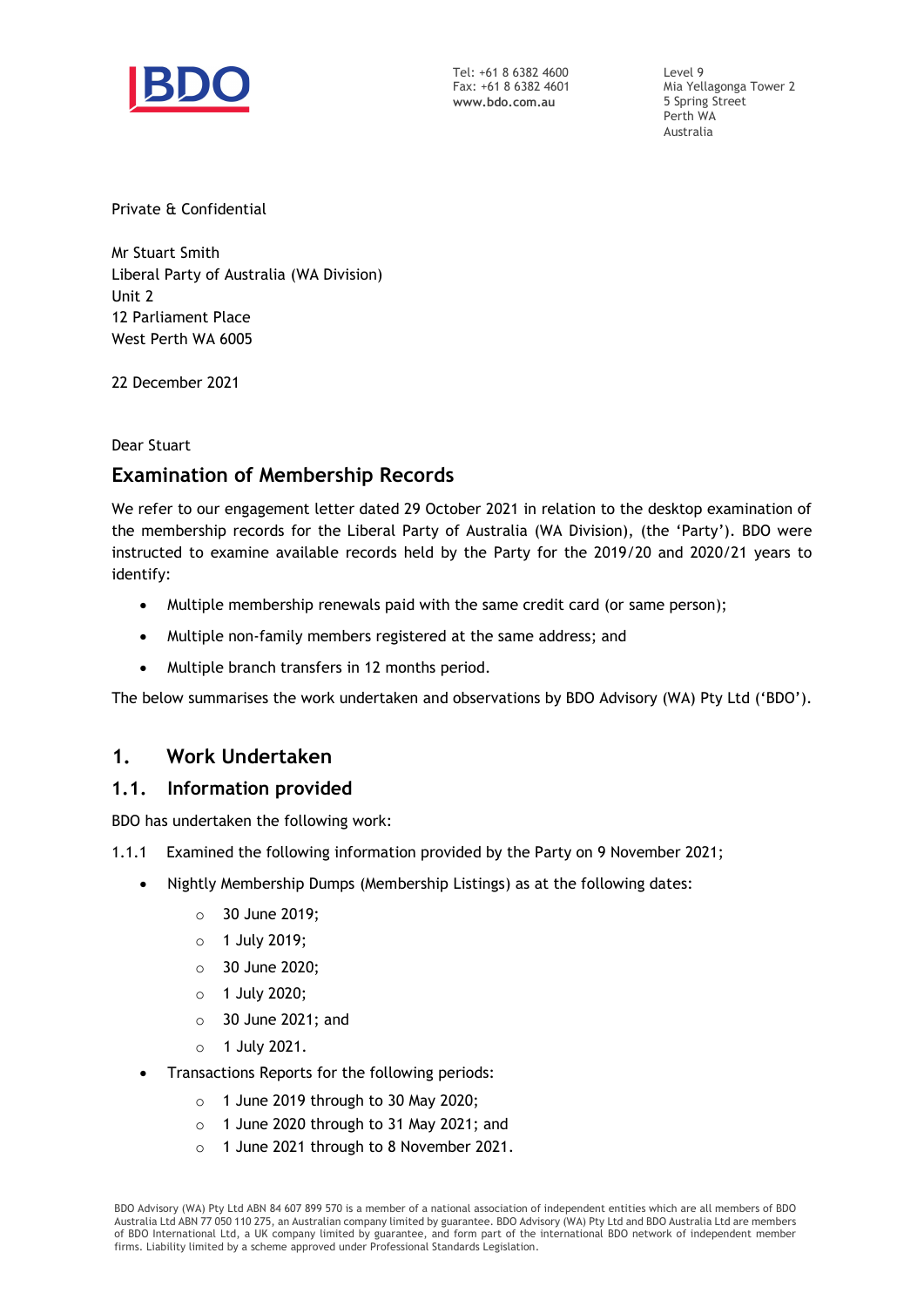

Tel: +61 8 6382 4600 Fax: +61 8 6382 4601 www.bdo.com.au

Level 9 Mia Yellagonga Tower 2 5 Spring Street Perth WA Australia

Private & Confidential

Mr Stuart Smith Liberal Party of Australia (WA Division) Unit 2 12 Parliament Place West Perth WA 6005

22 December 2021

Dear Stuart

# Examination of Membership Records

We refer to our engagement letter dated 29 October 2021 in relation to the desktop examination of the membership records for the Liberal Party of Australia (WA Division), (the 'Party'). BDO were instructed to examine available records held by the Party for the 2019/20 and 2020/21 years to identify:

- Multiple membership renewals paid with the same credit card (or same person);
- Multiple non-family members registered at the same address; and
- Multiple branch transfers in 12 months period.

The below summarises the work undertaken and observations by BDO Advisory (WA) Pty Ltd ('BDO').

# 1. Work Undertaken

# 1.1. Information provided

BDO has undertaken the following work:

- 1.1.1 Examined the following information provided by the Party on 9 November 2021;
	- Nightly Membership Dumps (Membership Listings) as at the following dates:
		- o 30 June 2019;
		- o 1 July 2019;
		- o 30 June 2020;
		- o 1 July 2020;
		- o 30 June 2021; and
		- o 1 July 2021.
	- Transactions Reports for the following periods:
		- $\circ$  1 June 2019 through to 30 May 2020;
		- o 1 June 2020 through to 31 May 2021; and
		- o 1 June 2021 through to 8 November 2021.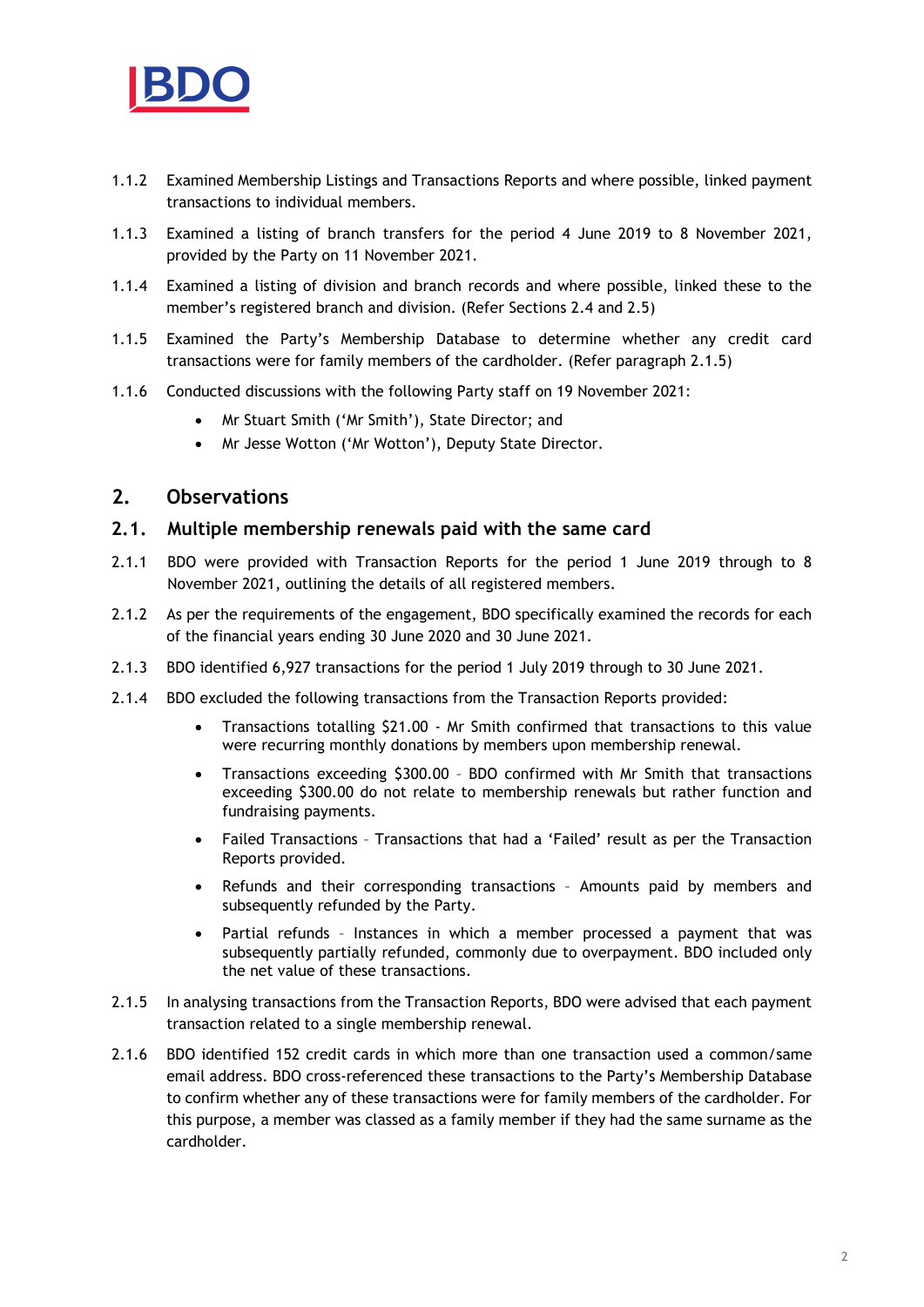

- 1.1.2 Examined Membership Listings and Transactions Reports and where possible, linked payment transactions to individual members.
- 1.1.3 Examined a listing of branch transfers for the period 4 June 2019 to 8 November 2021, provided by the Party on 11 November 2021.
- 1.1.4 Examined a listing of division and branch records and where possible, linked these to the member's registered branch and division. (Refer Sections 2.4 and 2.5)
- 1.1.5 Examined the Party's Membership Database to determine whether any credit card transactions were for family members of the cardholder. (Refer paragraph 2.1.5)
- 1.1.6 Conducted discussions with the following Party staff on 19 November 2021:
	- Mr Stuart Smith ('Mr Smith'), State Director; and
	- Mr Jesse Wotton ('Mr Wotton'), Deputy State Director.

## 2. Observations

#### 2.1. Multiple membership renewals paid with the same card

- 2.1.1 BDO were provided with Transaction Reports for the period 1 June 2019 through to 8 November 2021, outlining the details of all registered members.
- 2.1.2 As per the requirements of the engagement, BDO specifically examined the records for each of the financial years ending 30 June 2020 and 30 June 2021.
- 2.1.3 BDO identified 6,927 transactions for the period 1 July 2019 through to 30 June 2021.
- 2.1.4 BDO excluded the following transactions from the Transaction Reports provided:
	- Transactions totalling \$21.00 Mr Smith confirmed that transactions to this value were recurring monthly donations by members upon membership renewal.
	- Transactions exceeding \$300.00 BDO confirmed with Mr Smith that transactions exceeding \$300.00 do not relate to membership renewals but rather function and fundraising payments.
	- Failed Transactions Transactions that had a 'Failed' result as per the Transaction Reports provided.
	- Refunds and their corresponding transactions Amounts paid by members and subsequently refunded by the Party.
	- Partial refunds Instances in which a member processed a payment that was subsequently partially refunded, commonly due to overpayment. BDO included only the net value of these transactions.
- 2.1.5 In analysing transactions from the Transaction Reports, BDO were advised that each payment transaction related to a single membership renewal.
- 2.1.6 BDO identified 152 credit cards in which more than one transaction used a common/same email address. BDO cross-referenced these transactions to the Party's Membership Database to confirm whether any of these transactions were for family members of the cardholder. For this purpose, a member was classed as a family member if they had the same surname as the cardholder.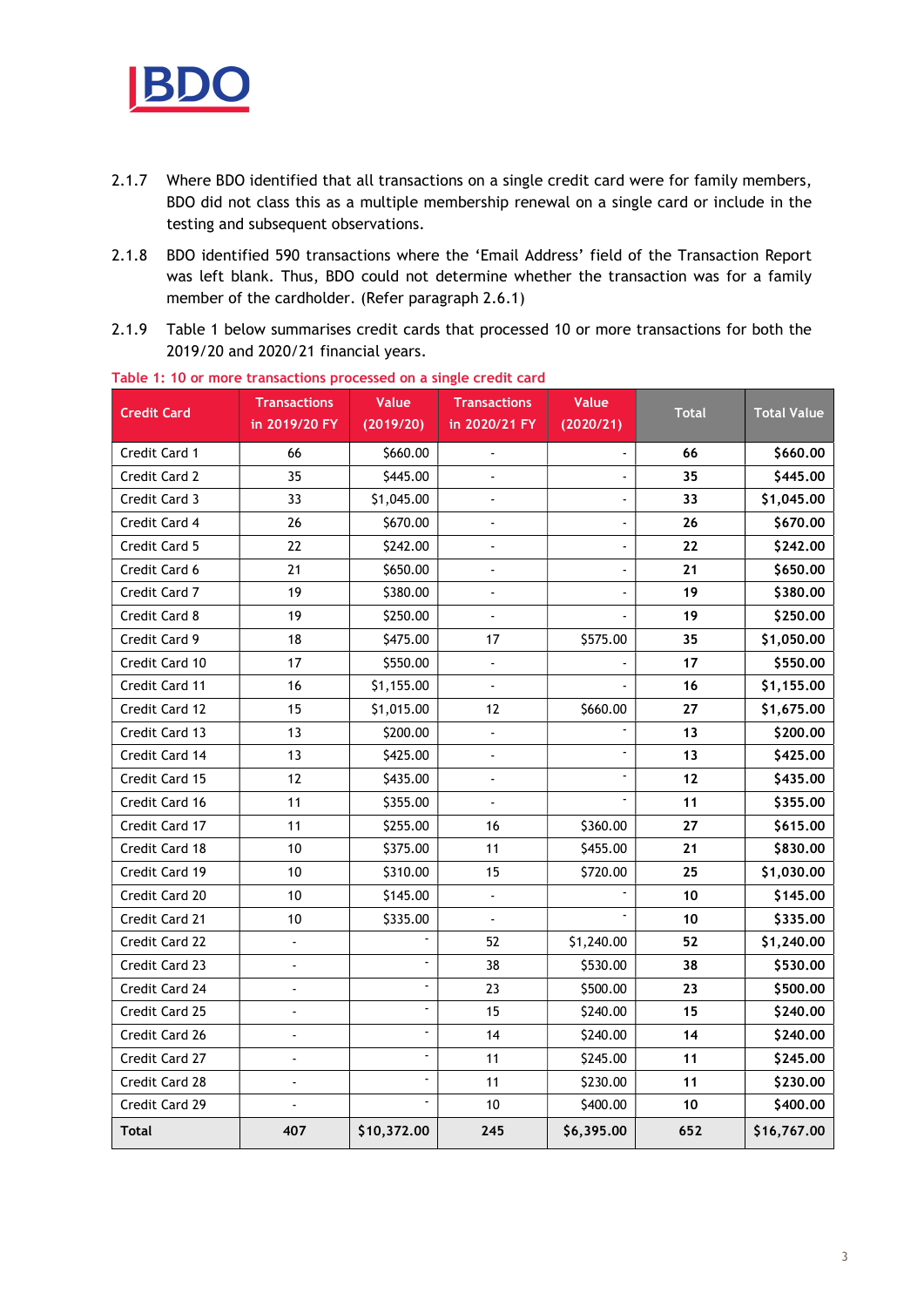

- 2.1.7 Where BDO identified that all transactions on a single credit card were for family members, BDO did not class this as a multiple membership renewal on a single card or include in the testing and subsequent observations.
- 2.1.8 BDO identified 590 transactions where the 'Email Address' field of the Transaction Report was left blank. Thus, BDO could not determine whether the transaction was for a family member of the cardholder. (Refer paragraph 2.6.1)
- 2.1.9 Table 1 below summarises credit cards that processed 10 or more transactions for both the 2019/20 and 2020/21 financial years.

| <b>Credit Card</b> | <b>Transactions</b><br>in 2019/20 FY | <b>Value</b><br>(2019/20) | <b>Transactions</b><br>in 2020/21 FY | Value<br>(2020/21) | <b>Total</b> | <b>Total Value</b> |
|--------------------|--------------------------------------|---------------------------|--------------------------------------|--------------------|--------------|--------------------|
|                    |                                      |                           |                                      |                    |              |                    |
| Credit Card 1      | 66                                   | \$660.00                  | $\overline{\phantom{a}}$             |                    | 66           | \$660.00           |
| Credit Card 2      | 35                                   | \$445.00                  |                                      |                    | 35           | \$445.00           |
| Credit Card 3      | 33                                   | \$1,045.00                |                                      |                    | 33           | \$1,045.00         |
| Credit Card 4      | 26                                   | \$670.00                  | Ĭ.                                   | ä,                 | 26           | \$670.00           |
| Credit Card 5      | 22                                   | \$242.00                  | $\overline{a}$                       |                    | 22           | \$242.00           |
| Credit Card 6      | 21                                   | \$650.00                  |                                      |                    | 21           | \$650.00           |
| Credit Card 7      | 19                                   | \$380.00                  | $\overline{a}$                       |                    | 19           | \$380.00           |
| Credit Card 8      | 19                                   | \$250.00                  | $\blacksquare$                       |                    | 19           | \$250.00           |
| Credit Card 9      | 18                                   | \$475.00                  | 17                                   | \$575.00           | 35           | \$1,050.00         |
| Credit Card 10     | 17                                   | \$550.00                  |                                      |                    | 17           | \$550.00           |
| Credit Card 11     | 16                                   | \$1,155.00                | $\overline{\phantom{a}}$             |                    | 16           | \$1,155.00         |
| Credit Card 12     | 15                                   | \$1,015.00                | 12                                   | \$660.00           | 27           | \$1,675.00         |
| Credit Card 13     | 13                                   | \$200.00                  | $\overline{\phantom{a}}$             |                    | 13           | \$200.00           |
| Credit Card 14     | 13                                   | \$425.00                  | $\overline{a}$                       | $\blacksquare$     | 13           | \$425.00           |
| Credit Card 15     | 12                                   | \$435.00                  | $\overline{\phantom{a}}$             | ÷,                 | $12$         | \$435.00           |
| Credit Card 16     | 11                                   | \$355.00                  | $\overline{a}$                       | ä,                 | 11           | \$355.00           |
| Credit Card 17     | 11                                   | \$255.00                  | 16                                   | \$360.00           | 27           | \$615.00           |
| Credit Card 18     | 10                                   | \$375.00                  | 11                                   | \$455.00           | 21           | \$830.00           |
| Credit Card 19     | 10                                   | \$310.00                  | 15                                   | \$720.00           | 25           | \$1,030.00         |
| Credit Card 20     | 10                                   | \$145.00                  | $\overline{\phantom{a}}$             |                    | 10           | \$145.00           |
| Credit Card 21     | 10                                   | \$335.00                  | $\overline{a}$                       |                    | 10           | \$335.00           |
| Credit Card 22     | $\overline{\phantom{a}}$             | $\overline{\phantom{a}}$  | 52                                   | \$1,240.00         | 52           | \$1,240.00         |
| Credit Card 23     | $\overline{a}$                       | $\blacksquare$            | 38                                   | \$530.00           | 38           | \$530.00           |
| Credit Card 24     |                                      | ä,                        | 23                                   | \$500.00           | 23           | \$500.00           |
| Credit Card 25     | $\overline{a}$                       | $\blacksquare$            | 15                                   | \$240.00           | 15           | \$240.00           |
| Credit Card 26     | $\overline{\phantom{a}}$             | $\blacksquare$            | 14                                   | \$240.00           | 14           | \$240.00           |
| Credit Card 27     | $\overline{a}$                       | $\overline{\phantom{a}}$  | 11                                   | \$245.00           | 11           | \$245.00           |
| Credit Card 28     | $\overline{a}$                       | ä,                        | 11                                   | \$230.00           | 11           | \$230.00           |
| Credit Card 29     | $\overline{\phantom{a}}$             | $\blacksquare$            | 10                                   | \$400.00           | 10           | \$400.00           |
| Total              | 407                                  | \$10,372.00               | 245                                  | \$6,395.00         | 652          | \$16,767.00        |

Table 1: 10 or more transactions processed on a single credit card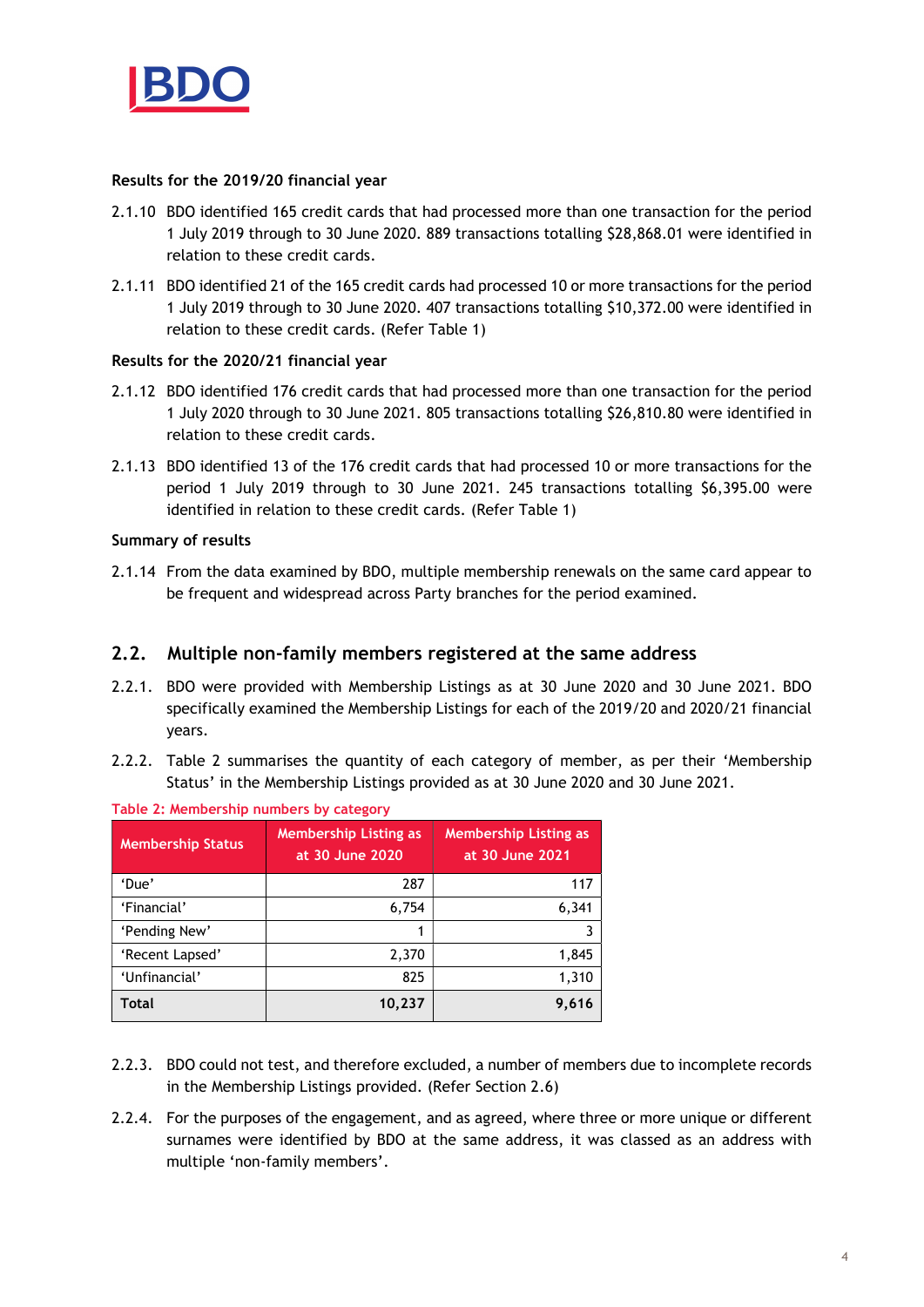

#### Results for the 2019/20 financial year

- 2.1.10 BDO identified 165 credit cards that had processed more than one transaction for the period 1 July 2019 through to 30 June 2020. 889 transactions totalling \$28,868.01 were identified in relation to these credit cards.
- 2.1.11 BDO identified 21 of the 165 credit cards had processed 10 or more transactions for the period 1 July 2019 through to 30 June 2020. 407 transactions totalling \$10,372.00 were identified in relation to these credit cards. (Refer Table 1)

### Results for the 2020/21 financial year

- 2.1.12 BDO identified 176 credit cards that had processed more than one transaction for the period 1 July 2020 through to 30 June 2021. 805 transactions totalling \$26,810.80 were identified in relation to these credit cards.
- 2.1.13 BDO identified 13 of the 176 credit cards that had processed 10 or more transactions for the period 1 July 2019 through to 30 June 2021. 245 transactions totalling \$6,395.00 were identified in relation to these credit cards. (Refer Table 1)

### Summary of results

2.1.14 From the data examined by BDO, multiple membership renewals on the same card appear to be frequent and widespread across Party branches for the period examined.

# 2.2. Multiple non-family members registered at the same address

- 2.2.1. BDO were provided with Membership Listings as at 30 June 2020 and 30 June 2021. BDO specifically examined the Membership Listings for each of the 2019/20 and 2020/21 financial years.
- 2.2.2. Table 2 summarises the quantity of each category of member, as per their 'Membership Status' in the Membership Listings provided as at 30 June 2020 and 30 June 2021.

| <b>Membership Status</b> | <b>Membership Listing as</b><br>at 30 June 2020 | <b>Membership Listing as</b><br>at 30 June 2021 |
|--------------------------|-------------------------------------------------|-------------------------------------------------|
| 'Due'                    | 287                                             | 117                                             |
| 'Financial'              | 6,754                                           | 6,341                                           |
| 'Pending New'            | 1                                               |                                                 |
| 'Recent Lapsed'          | 2,370                                           | 1,845                                           |
| 'Unfinancial'            | 825                                             | 1,310                                           |
| <b>Total</b>             | 10,237                                          | 9.616                                           |

Table 2: Membership numbers by category

- 2.2.3. BDO could not test, and therefore excluded, a number of members due to incomplete records in the Membership Listings provided. (Refer Section 2.6)
- 2.2.4. For the purposes of the engagement, and as agreed, where three or more unique or different surnames were identified by BDO at the same address, it was classed as an address with multiple 'non-family members'.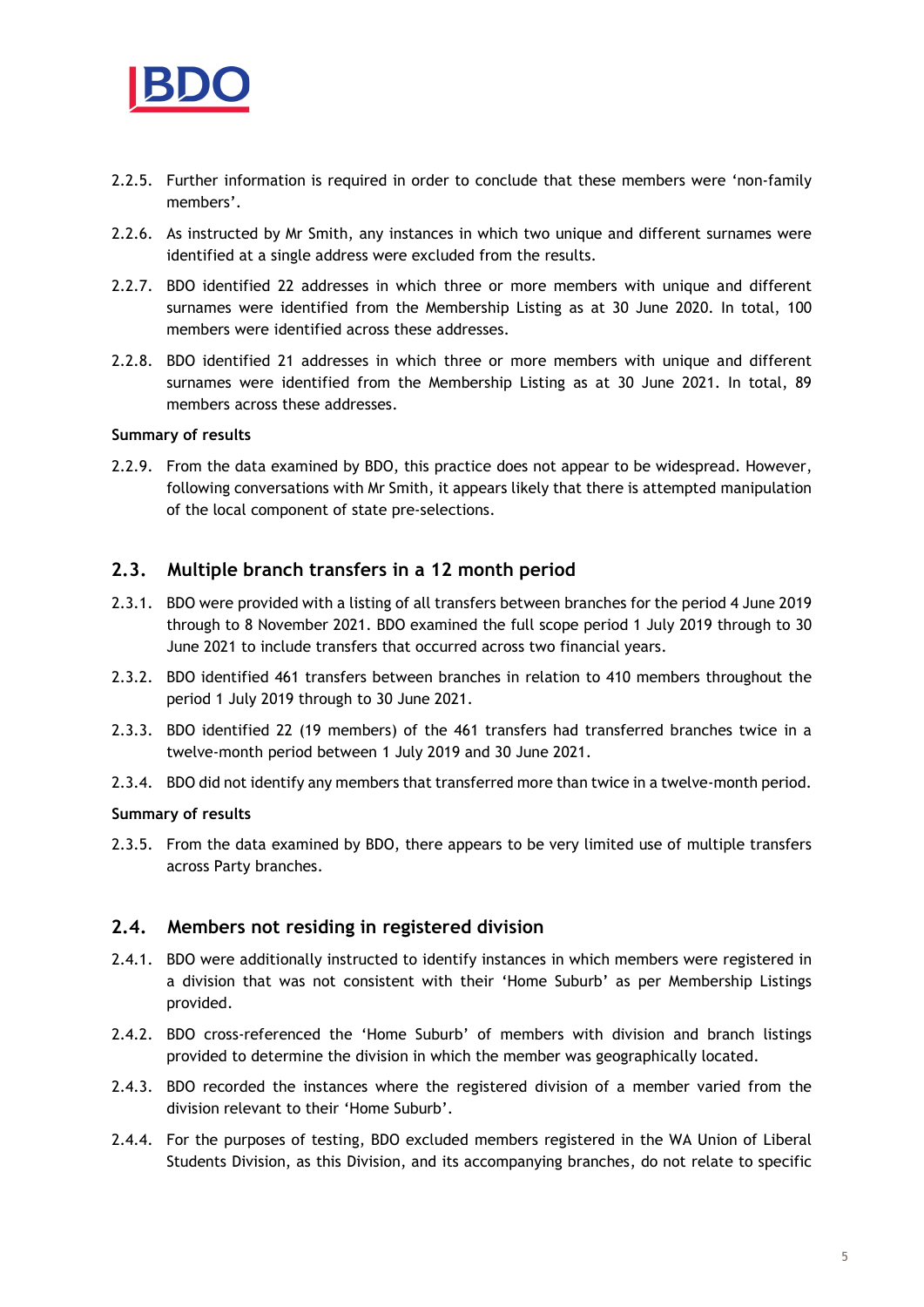

- 2.2.5. Further information is required in order to conclude that these members were 'non-family members'.
- 2.2.6. As instructed by Mr Smith, any instances in which two unique and different surnames were identified at a single address were excluded from the results.
- 2.2.7. BDO identified 22 addresses in which three or more members with unique and different surnames were identified from the Membership Listing as at 30 June 2020. In total, 100 members were identified across these addresses.
- 2.2.8. BDO identified 21 addresses in which three or more members with unique and different surnames were identified from the Membership Listing as at 30 June 2021. In total, 89 members across these addresses.

#### Summary of results

2.2.9. From the data examined by BDO, this practice does not appear to be widespread. However, following conversations with Mr Smith, it appears likely that there is attempted manipulation of the local component of state pre-selections.

## 2.3. Multiple branch transfers in a 12 month period

- 2.3.1. BDO were provided with a listing of all transfers between branches for the period 4 June 2019 through to 8 November 2021. BDO examined the full scope period 1 July 2019 through to 30 June 2021 to include transfers that occurred across two financial years.
- 2.3.2. BDO identified 461 transfers between branches in relation to 410 members throughout the period 1 July 2019 through to 30 June 2021.
- 2.3.3. BDO identified 22 (19 members) of the 461 transfers had transferred branches twice in a twelve-month period between 1 July 2019 and 30 June 2021.
- 2.3.4. BDO did not identify any members that transferred more than twice in a twelve-month period.

#### Summary of results

2.3.5. From the data examined by BDO, there appears to be very limited use of multiple transfers across Party branches.

#### 2.4. Members not residing in registered division

- 2.4.1. BDO were additionally instructed to identify instances in which members were registered in a division that was not consistent with their 'Home Suburb' as per Membership Listings provided.
- 2.4.2. BDO cross-referenced the 'Home Suburb' of members with division and branch listings provided to determine the division in which the member was geographically located.
- 2.4.3. BDO recorded the instances where the registered division of a member varied from the division relevant to their 'Home Suburb'.
- 2.4.4. For the purposes of testing, BDO excluded members registered in the WA Union of Liberal Students Division, as this Division, and its accompanying branches, do not relate to specific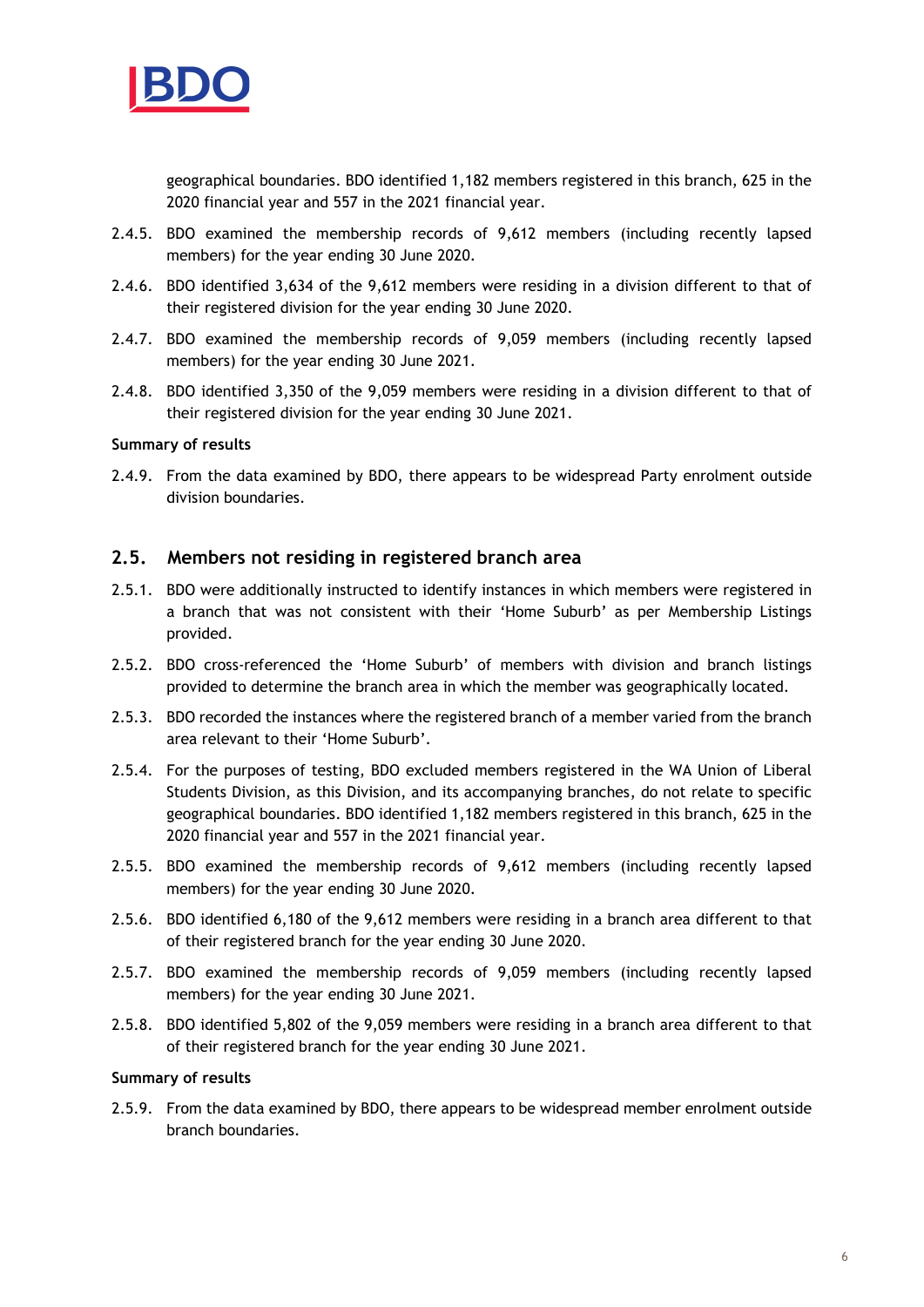

geographical boundaries. BDO identified 1,182 members registered in this branch, 625 in the 2020 financial year and 557 in the 2021 financial year.

- 2.4.5. BDO examined the membership records of 9,612 members (including recently lapsed members) for the year ending 30 June 2020.
- 2.4.6. BDO identified 3,634 of the 9,612 members were residing in a division different to that of their registered division for the year ending 30 June 2020.
- 2.4.7. BDO examined the membership records of 9,059 members (including recently lapsed members) for the year ending 30 June 2021.
- 2.4.8. BDO identified 3,350 of the 9,059 members were residing in a division different to that of their registered division for the year ending 30 June 2021.

#### Summary of results

2.4.9. From the data examined by BDO, there appears to be widespread Party enrolment outside division boundaries.

#### 2.5. Members not residing in registered branch area

- 2.5.1. BDO were additionally instructed to identify instances in which members were registered in a branch that was not consistent with their 'Home Suburb' as per Membership Listings provided.
- 2.5.2. BDO cross-referenced the 'Home Suburb' of members with division and branch listings provided to determine the branch area in which the member was geographically located.
- 2.5.3. BDO recorded the instances where the registered branch of a member varied from the branch area relevant to their 'Home Suburb'.
- 2.5.4. For the purposes of testing, BDO excluded members registered in the WA Union of Liberal Students Division, as this Division, and its accompanying branches, do not relate to specific geographical boundaries. BDO identified 1,182 members registered in this branch, 625 in the 2020 financial year and 557 in the 2021 financial year.
- 2.5.5. BDO examined the membership records of 9,612 members (including recently lapsed members) for the year ending 30 June 2020.
- 2.5.6. BDO identified 6,180 of the 9,612 members were residing in a branch area different to that of their registered branch for the year ending 30 June 2020.
- 2.5.7. BDO examined the membership records of 9,059 members (including recently lapsed members) for the year ending 30 June 2021.
- 2.5.8. BDO identified 5,802 of the 9,059 members were residing in a branch area different to that of their registered branch for the year ending 30 June 2021.

#### Summary of results

2.5.9. From the data examined by BDO, there appears to be widespread member enrolment outside branch boundaries.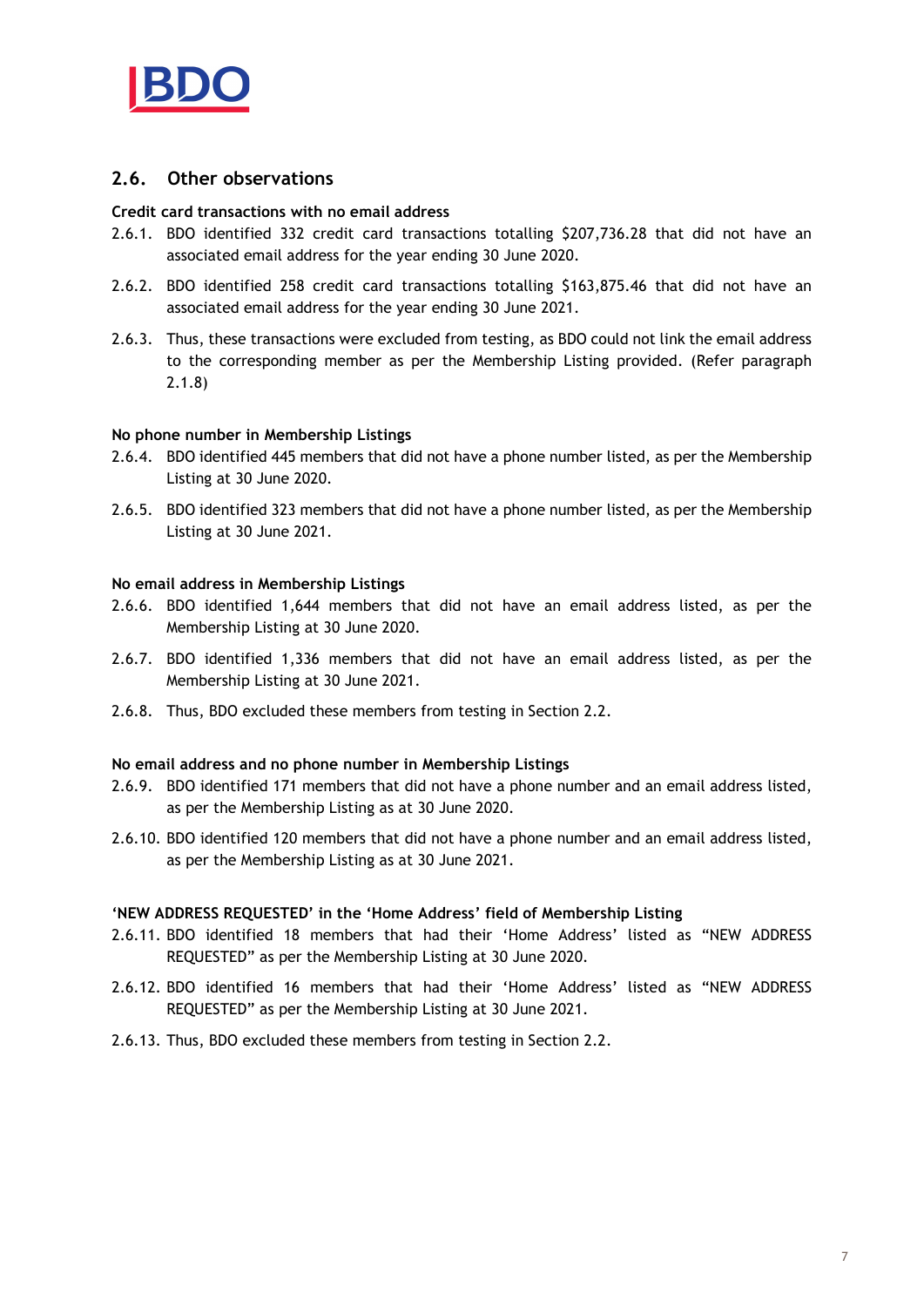

# 2.6. Other observations

#### Credit card transactions with no email address

- 2.6.1. BDO identified 332 credit card transactions totalling \$207,736.28 that did not have an associated email address for the year ending 30 June 2020.
- 2.6.2. BDO identified 258 credit card transactions totalling \$163,875.46 that did not have an associated email address for the year ending 30 June 2021.
- 2.6.3. Thus, these transactions were excluded from testing, as BDO could not link the email address to the corresponding member as per the Membership Listing provided. (Refer paragraph 2.1.8)

#### No phone number in Membership Listings

- 2.6.4. BDO identified 445 members that did not have a phone number listed, as per the Membership Listing at 30 June 2020.
- 2.6.5. BDO identified 323 members that did not have a phone number listed, as per the Membership Listing at 30 June 2021.

#### No email address in Membership Listings

- 2.6.6. BDO identified 1,644 members that did not have an email address listed, as per the Membership Listing at 30 June 2020.
- 2.6.7. BDO identified 1,336 members that did not have an email address listed, as per the Membership Listing at 30 June 2021.
- 2.6.8. Thus, BDO excluded these members from testing in Section 2.2.

#### No email address and no phone number in Membership Listings

- 2.6.9. BDO identified 171 members that did not have a phone number and an email address listed, as per the Membership Listing as at 30 June 2020.
- 2.6.10. BDO identified 120 members that did not have a phone number and an email address listed, as per the Membership Listing as at 30 June 2021.

#### 'NEW ADDRESS REQUESTED' in the 'Home Address' field of Membership Listing

- 2.6.11. BDO identified 18 members that had their 'Home Address' listed as "NEW ADDRESS REQUESTED" as per the Membership Listing at 30 June 2020.
- 2.6.12. BDO identified 16 members that had their 'Home Address' listed as "NEW ADDRESS REQUESTED" as per the Membership Listing at 30 June 2021.
- 2.6.13. Thus, BDO excluded these members from testing in Section 2.2.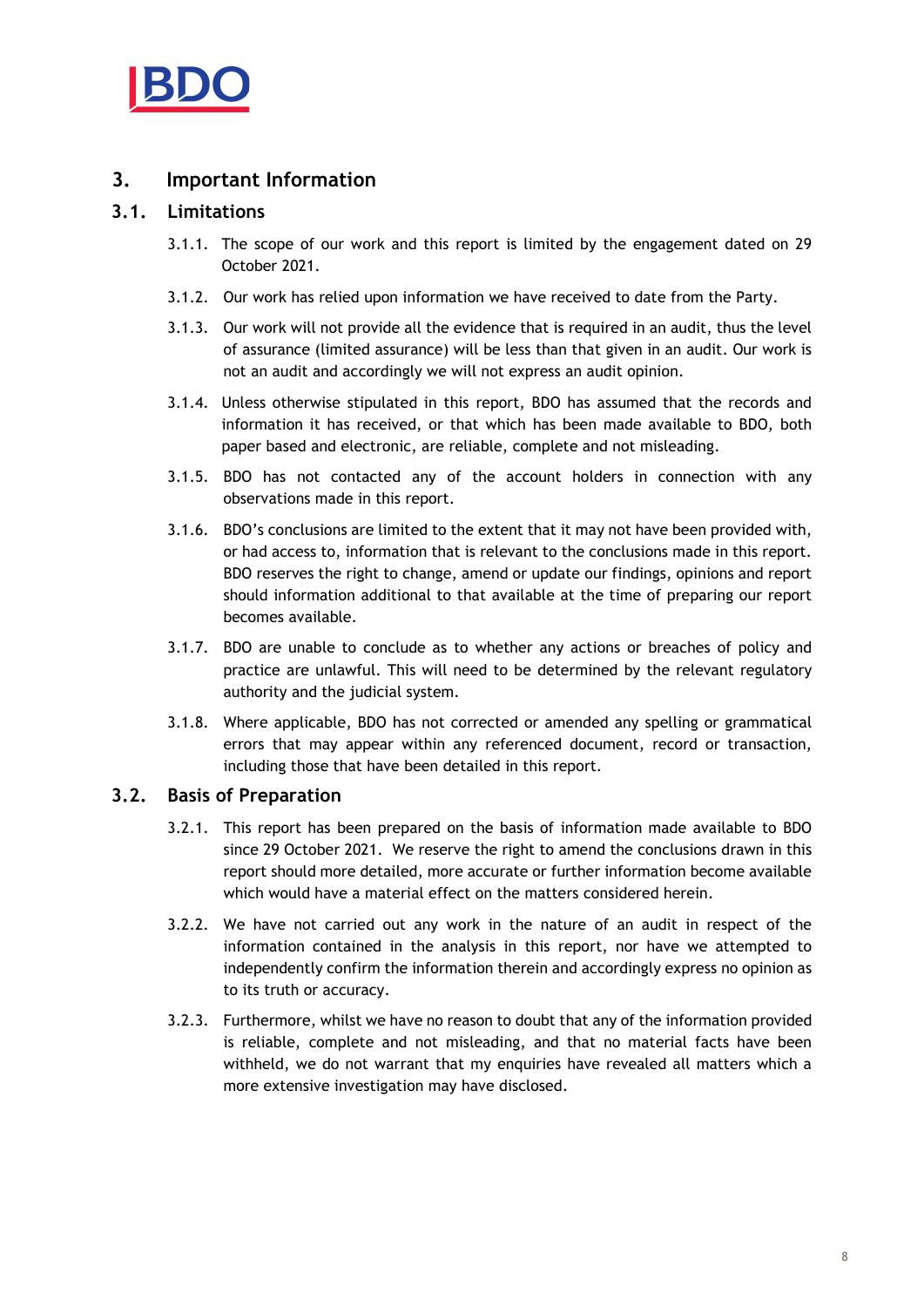

# 3. Important Information

# 3.1. Limitations

- 3.1.1. The scope of our work and this report is limited by the engagement dated on 29 October 2021.
- 3.1.2. Our work has relied upon information we have received to date from the Party.
- 3.1.3. Our work will not provide all the evidence that is required in an audit, thus the level of assurance (limited assurance) will be less than that given in an audit. Our work is not an audit and accordingly we will not express an audit opinion.
- 3.1.4. Unless otherwise stipulated in this report, BDO has assumed that the records and information it has received, or that which has been made available to BDO, both paper based and electronic, are reliable, complete and not misleading.
- 3.1.5. BDO has not contacted any of the account holders in connection with any observations made in this report.
- 3.1.6. BDO's conclusions are limited to the extent that it may not have been provided with, or had access to, information that is relevant to the conclusions made in this report. BDO reserves the right to change, amend or update our findings, opinions and report should information additional to that available at the time of preparing our report becomes available.
- 3.1.7. BDO are unable to conclude as to whether any actions or breaches of policy and practice are unlawful. This will need to be determined by the relevant regulatory authority and the judicial system.
- 3.1.8. Where applicable, BDO has not corrected or amended any spelling or grammatical errors that may appear within any referenced document, record or transaction, including those that have been detailed in this report.

# 3.2. Basis of Preparation

- 3.2.1. This report has been prepared on the basis of information made available to BDO since 29 October 2021. We reserve the right to amend the conclusions drawn in this report should more detailed, more accurate or further information become available which would have a material effect on the matters considered herein.
- 3.2.2. We have not carried out any work in the nature of an audit in respect of the information contained in the analysis in this report, nor have we attempted to independently confirm the information therein and accordingly express no opinion as to its truth or accuracy.
- 3.2.3. Furthermore, whilst we have no reason to doubt that any of the information provided is reliable, complete and not misleading, and that no material facts have been withheld, we do not warrant that my enquiries have revealed all matters which a more extensive investigation may have disclosed.